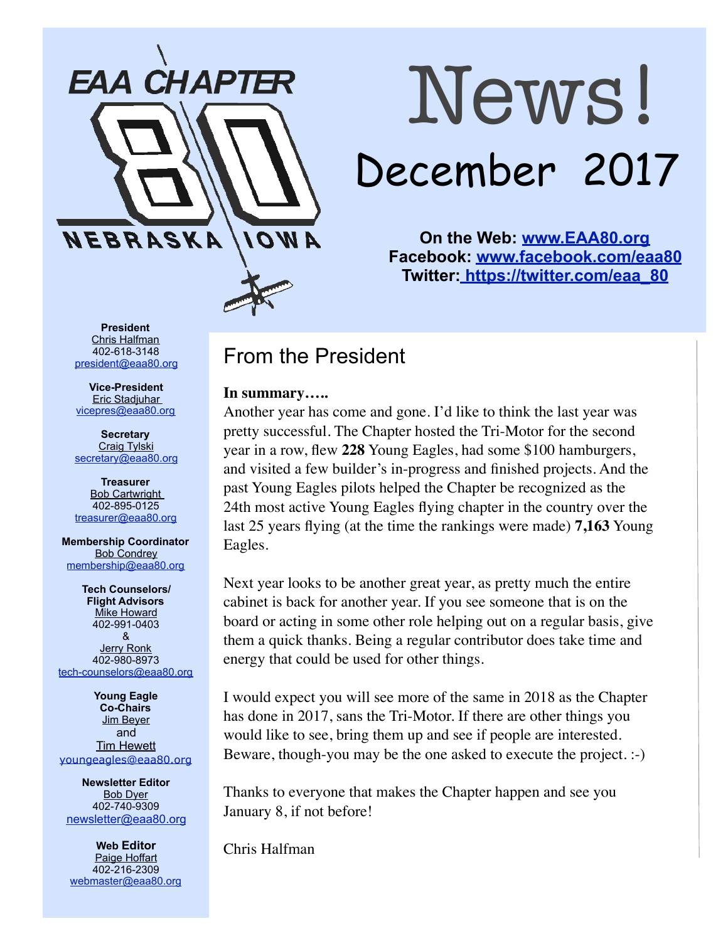

# News! December 2017

**On the Web: [www.EAA80.org](http://www.EAA80.org) Facebook: [www.facebook.com/eaa80](http://www.facebook.com/eaa80) Twitter[: https://twitter.com/eaa\\_80](https://twitter.com/eaa_80)**

**President**  Chris Halfman 402-618-3148 [president@eaa80.org](mailto:president@eaa80.org)

**Vice-President**  Eric Stadjuhar [vicepres@eaa80.org](mailto:vicepres@eaa80.org) 

**Secretary**  Craig Tylski [secretary@eaa80.org](mailto:secretary@eaa80.org)

**Treasurer**  Bob Cartwright 402-895-0125 [treasurer@eaa80.org](mailto:treasurer@eaa80.org)

**Membership Coordinator Bob Condrey** [membership@eaa80.org](mailto:membership@eaa80.org) 

**Tech Counselors/ Flight Advisors**  Mike Howard 402-991-0403 & Jerry Ronk 402-980-8973 [tech-counselors@eaa80.org](mailto:tech-counselors@eaa80.org) 

**Young Eagle Co-Chairs**  Jim Beyer and **Tim Hewett** [youngeagles@eaa80.org](mailto:youngeagles@eaa80.org)

**Newsletter Editor**  Bob Dyer 402-740-9309 [newsletter@eaa80.org](mailto:newsletter@eaa80.org)

**Web Editor**  Paige Hoffart 402-216-2309 [webmaster@eaa80.org](mailto:webmaster@eaa80.org)

# From the President

#### **In summary…..**

Another year has come and gone. I'd like to think the last year was pretty successful. The Chapter hosted the Tri-Motor for the second year in a row, flew **228** Young Eagles, had some \$100 hamburgers, and visited a few builder's in-progress and finished projects. And the past Young Eagles pilots helped the Chapter be recognized as the 24th most active Young Eagles flying chapter in the country over the last 25 years flying (at the time the rankings were made) **7,163** Young Eagles.

Next year looks to be another great year, as pretty much the entire cabinet is back for another year. If you see someone that is on the board or acting in some other role helping out on a regular basis, give them a quick thanks. Being a regular contributor does take time and energy that could be used for other things.

I would expect you will see more of the same in 2018 as the Chapter has done in 2017, sans the Tri-Motor. If there are other things you would like to see, bring them up and see if people are interested. Beware, though-you may be the one asked to execute the project. :-)

Thanks to everyone that makes the Chapter happen and see you January 8, if not before!

Chris Halfman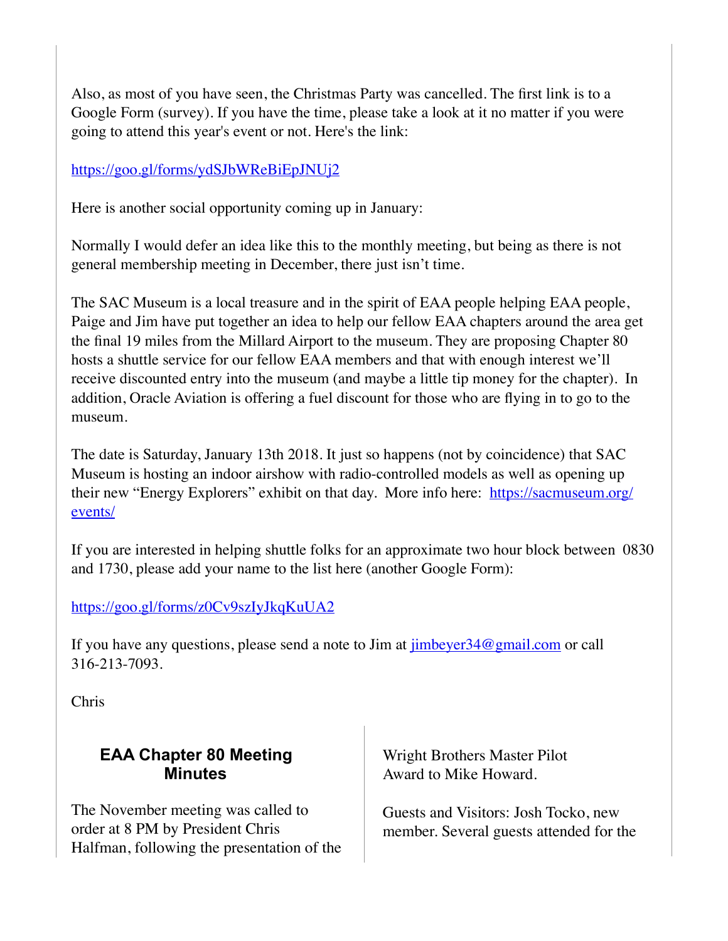Also, as most of you have seen, the Christmas Party was cancelled. The first link is to a Google Form (survey). If you have the time, please take a look at it no matter if you were going to attend this year's event or not. Here's the link:

#### <https://goo.gl/forms/ydSJbWReBiEpJNUj2>

Here is another social opportunity coming up in January:

Normally I would defer an idea like this to the monthly meeting, but being as there is not general membership meeting in December, there just isn't time.

The SAC Museum is a local treasure and in the spirit of EAA people helping EAA people, Paige and Jim have put together an idea to help our fellow EAA chapters around the area get the final 19 miles from the Millard Airport to the museum. They are proposing Chapter 80 hosts a shuttle service for our fellow EAA members and that with enough interest we'll receive discounted entry into the museum (and maybe a little tip money for the chapter). In addition, Oracle Aviation is offering a fuel discount for those who are flying in to go to the museum.

The date is Saturday, January 13th 2018. It just so happens (not by coincidence) that SAC Museum is hosting an indoor airshow with radio-controlled models as well as opening up their new "Energy Explorers" exhibit on that day. More info here: [https://sacmuseum.org/](https://sacmuseum.org/events/) [events/](https://sacmuseum.org/events/)

If you are interested in helping shuttle folks for an approximate two hour block between 0830 and 1730, please add your name to the list here (another Google Form):

#### <https://goo.gl/forms/z0Cv9szIyJkqKuUA2>

If you have any questions, please send a note to Jim at  $\frac{\text{imbever34@gmail.com}}{\text{imbever34@gmail.com}}$  or call 316-213-7093.

Chris

#### **EAA Chapter 80 Meeting Minutes**

The November meeting was called to order at 8 PM by President Chris Halfman, following the presentation of the Wright Brothers Master Pilot Award to Mike Howard.

Guests and Visitors: Josh Tocko, new member. Several guests attended for the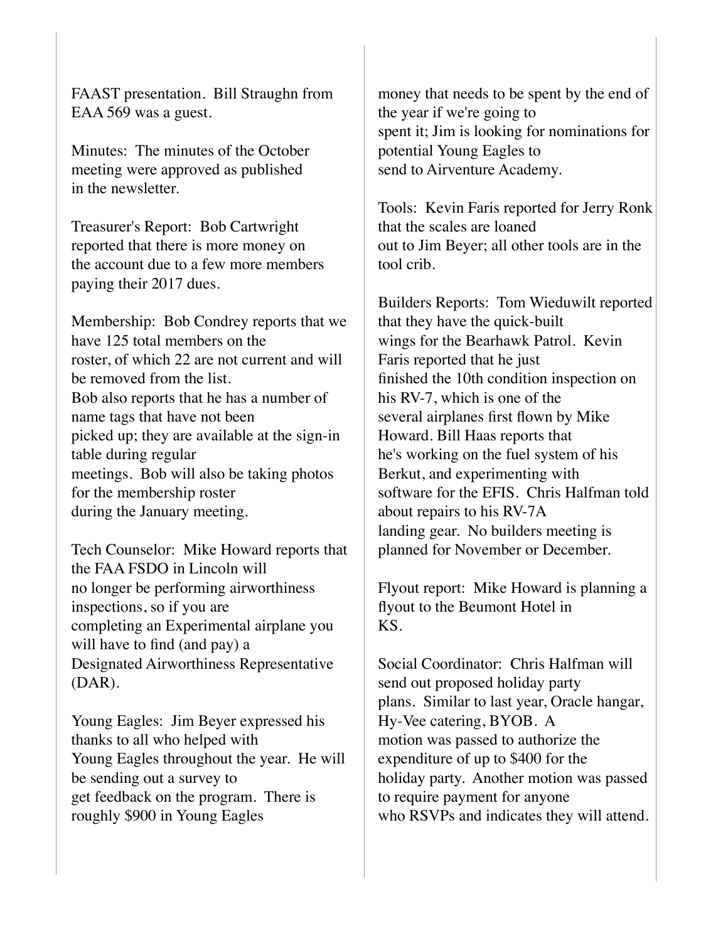FAAST presentation. Bill Straughn from EAA 569 was a guest.

Minutes: The minutes of the October meeting were approved as published in the newsletter.

Treasurer's Report: Bob Cartwright reported that there is more money on the account due to a few more members paying their 2017 dues.

Membership: Bob Condrey reports that we have 125 total members on the roster, of which 22 are not current and will be removed from the list. Bob also reports that he has a number of name tags that have not been picked up; they are available at the sign-in table during regular meetings. Bob will also be taking photos for the membership roster during the January meeting.

Tech Counselor: Mike Howard reports that the FAA FSDO in Lincoln will no longer be performing airworthiness inspections, so if you are completing an Experimental airplane you will have to find (and pay) a Designated Airworthiness Representative (DAR).

Young Eagles: Jim Beyer expressed his thanks to all who helped with Young Eagles throughout the year. He will be sending out a survey to get feedback on the program. There is roughly \$900 in Young Eagles

money that needs to be spent by the end of the year if we're going to spent it; Jim is looking for nominations for potential Young Eagles to send to Airventure Academy.

Tools: Kevin Faris reported for Jerry Ronk that the scales are loaned out to Jim Beyer; all other tools are in the tool crib.

Builders Reports: Tom Wieduwilt reported that they have the quick-built wings for the Bearhawk Patrol. Kevin Faris reported that he just finished the 10th condition inspection on his RV-7, which is one of the several airplanes first flown by Mike Howard. Bill Haas reports that he's working on the fuel system of his Berkut, and experimenting with software for the EFIS. Chris Halfman told about repairs to his RV-7A landing gear. No builders meeting is planned for November or December.

Flyout report: Mike Howard is planning a flyout to the Beumont Hotel in KS.

Social Coordinator: Chris Halfman will send out proposed holiday party plans. Similar to last year, Oracle hangar, Hy-Vee catering, BYOB. A motion was passed to authorize the expenditure of up to \$400 for the holiday party. Another motion was passed to require payment for anyone who RSVPs and indicates they will attend.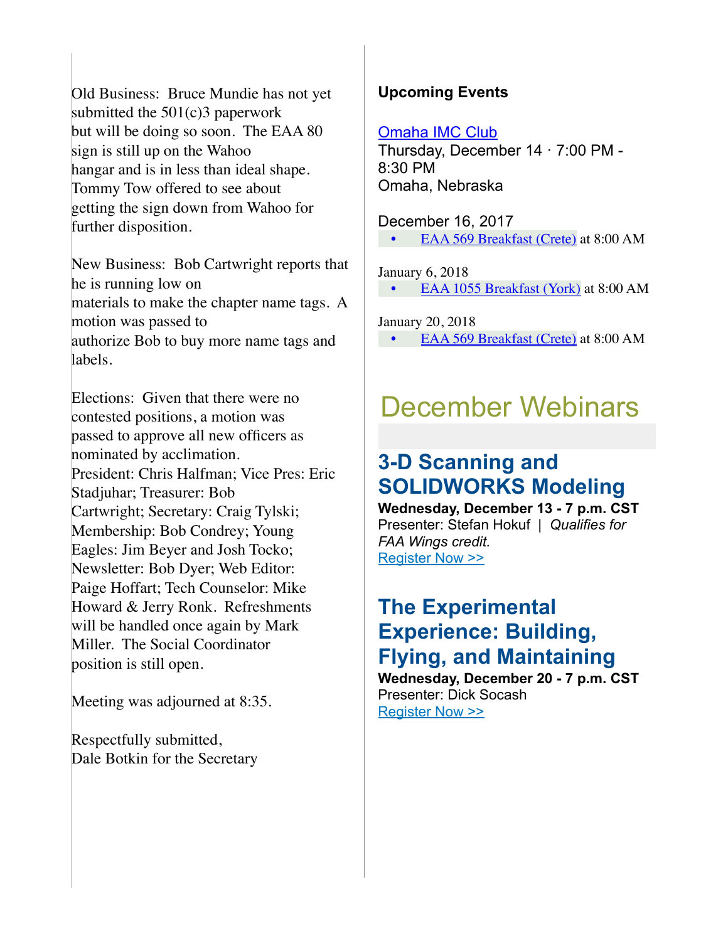Old Business: Bruce Mundie has not yet submitted the 501(c)3 paperwork but will be doing so soon. The EAA 80 sign is still up on the Wahoo hangar and is in less than ideal shape. Tommy Tow offered to see about getting the sign down from Wahoo for further disposition.

New Business: Bob Cartwright reports that he is running low on materials to make the chapter name tags. A motion was passed to authorize Bob to buy more name tags and labels.

Elections: Given that there were no contested positions, a motion was passed to approve all new officers as nominated by acclimation. President: Chris Halfman; Vice Pres: Eric Stadjuhar; Treasurer: Bob Cartwright; Secretary: Craig Tylski; Membership: Bob Condrey; Young Eagles: Jim Beyer and Josh Tocko; Newsletter: Bob Dyer; Web Editor: Paige Hoffart; Tech Counselor: Mike Howard & Jerry Ronk. Refreshments will be handled once again by Mark Miller. The Social Coordinator position is still open.

Meeting was adjourned at 8:35.

Respectfully submitted, Dale Botkin for the Secretary

#### **Upcoming Events**

#### [Omaha IMC Club](https://www.eaa.org/eaa/event/2017-12-14-Omaha_IMC_Club?id=9BAB18C3F52D4E63A6CF3EA01D43B9D4)

Thursday, December 14 · 7:00 PM - 8:30 PM Omaha, Nebraska

December 16, 2017 • [EAA 569 Breakfast \(Crete\)](http://eaa569.org/blog/) at 8:00 AM

January 6, 2018 • [EAA 1055 Breakfast \(York\)](http://1055.eaachapter.org/) at 8:00 AM

January 20, 2018

• [EAA 569 Breakfast \(Crete\)](http://eaa569.org/blog/) at 8:00 AM

# December Webinars

## **3-D Scanning and SOLIDWORKS Modeling**

**Wednesday, December 13 - 7 p.m. CST** Presenter: Stefan Hokuf | *Qualifies for FAA Wings credit.* [Register Now >>](http://go.eaa.org/P000K0OSBE0Hu1090mWUIV3)

# **The Experimental Experience: Building, Flying, and Maintaining**

**Wednesday, December 20 - 7 p.m. CST** Presenter: Dick Socash [Register Now >>](http://go.eaa.org/a0300B0IVS0m00XUvEK91HO)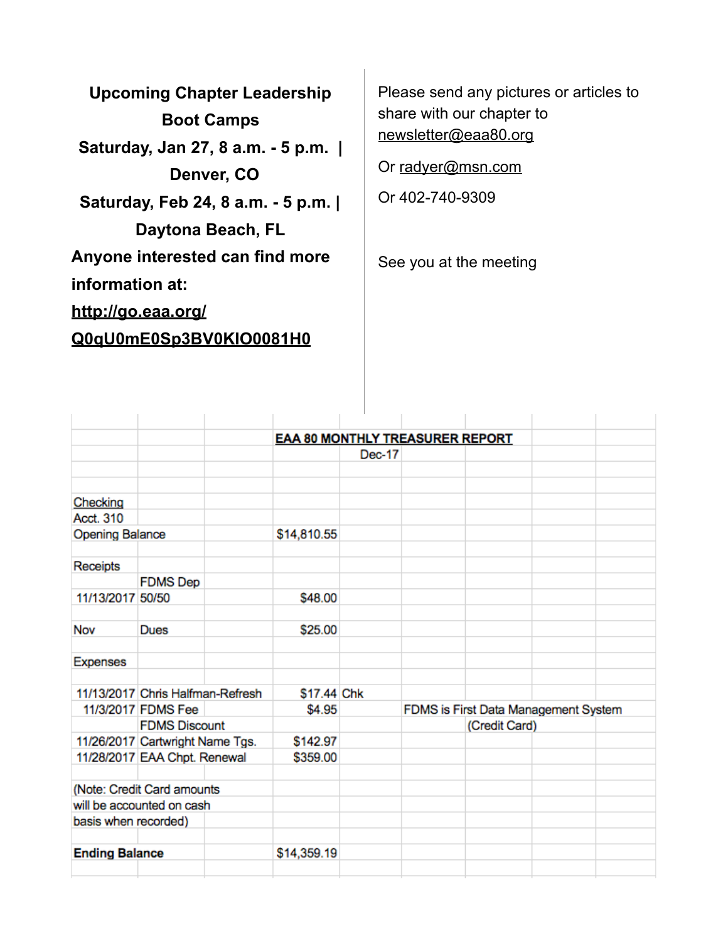**Upcoming Chapter Leadership Boot Camps Saturday, Jan 27, 8 a.m. - 5 p.m. | Denver, CO Saturday, Feb 24, 8 a.m. - 5 p.m. | Daytona Beach, FL Anyone interested can find more information at: [http://go.eaa.org/](http://go.eaa.org/Q0qU0mE0Sp3BV0KIO0081H0) [Q0qU0mE0Sp3BV0KIO0081H0](http://go.eaa.org/Q0qU0mE0Sp3BV0KIO0081H0)**

Please send any pictures or articles to share with our chapter to [newsletter@eaa80.org](mailto:newsletter@eaa80.org) 

Or [radyer@msn.com](mailto:radyer@msn.com)

Or 402-740-9309

See you at the meeting

|                        |                                  | <b>EAA 80 MONTHLY TREASURER REPORT</b> |        |                                      |  |  |  |
|------------------------|----------------------------------|----------------------------------------|--------|--------------------------------------|--|--|--|
|                        |                                  |                                        | Dec-17 |                                      |  |  |  |
|                        |                                  |                                        |        |                                      |  |  |  |
|                        |                                  |                                        |        |                                      |  |  |  |
| Checking               |                                  |                                        |        |                                      |  |  |  |
| Acct. 310              |                                  |                                        |        |                                      |  |  |  |
| <b>Opening Balance</b> |                                  | \$14,810.55                            |        |                                      |  |  |  |
|                        |                                  |                                        |        |                                      |  |  |  |
| Receipts               |                                  |                                        |        |                                      |  |  |  |
|                        | <b>FDMS Dep</b>                  |                                        |        |                                      |  |  |  |
| 11/13/2017 50/50       |                                  | \$48.00                                |        |                                      |  |  |  |
|                        |                                  |                                        |        |                                      |  |  |  |
| Nov                    | <b>Dues</b>                      | \$25.00                                |        |                                      |  |  |  |
|                        |                                  |                                        |        |                                      |  |  |  |
| <b>Expenses</b>        |                                  |                                        |        |                                      |  |  |  |
|                        |                                  |                                        |        |                                      |  |  |  |
|                        | 11/13/2017 Chris Halfman-Refresh | \$17.44 Chk                            |        |                                      |  |  |  |
|                        | 11/3/2017 FDMS Fee               | \$4.95                                 |        | FDMS is First Data Management System |  |  |  |
|                        | <b>FDMS Discount</b>             |                                        |        | (Credit Card)                        |  |  |  |
|                        | 11/26/2017 Cartwright Name Tgs.  | \$142.97                               |        |                                      |  |  |  |
|                        | 11/28/2017 EAA Chpt. Renewal     | \$359.00                               |        |                                      |  |  |  |
|                        |                                  |                                        |        |                                      |  |  |  |
|                        | (Note: Credit Card amounts       |                                        |        |                                      |  |  |  |
|                        | will be accounted on cash        |                                        |        |                                      |  |  |  |
| basis when recorded)   |                                  |                                        |        |                                      |  |  |  |
|                        |                                  |                                        |        |                                      |  |  |  |
| <b>Ending Balance</b>  |                                  | \$14,359.19                            |        |                                      |  |  |  |
|                        |                                  |                                        |        |                                      |  |  |  |